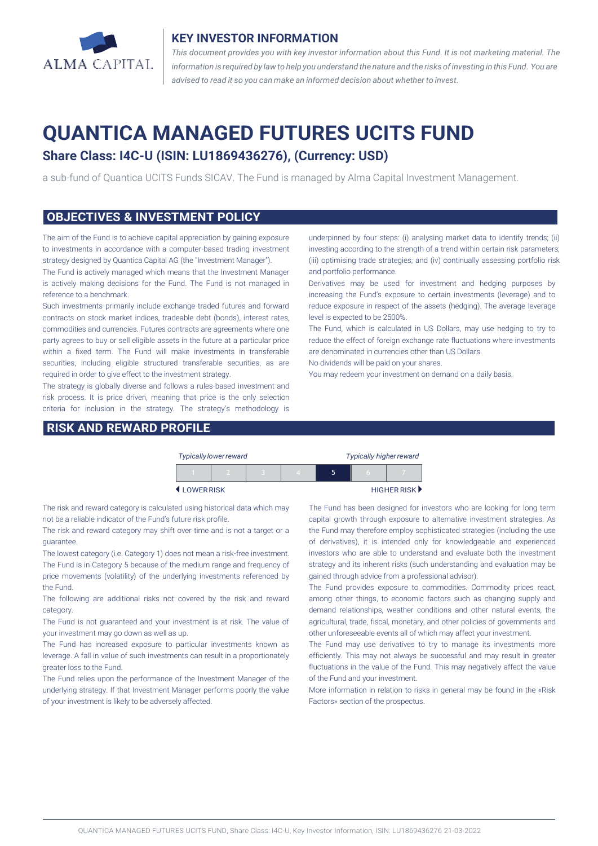

#### **KEY INVESTOR INFORMATION**

*This document provides you with key investor information about this Fund. It is not marketing material. The* information is required by law to help you understand the nature and the risks of investing in this Fund. You are *advised to read it so you can make an informed decision about whether to invest.*

# **QUANTICA MANAGED FUTURES UCITS FUND**

## **Share Class: I4C-U (ISIN: LU1869436276), (Currency: USD)**

a sub-fund of Quantica UCITS Funds SICAV. The Fund is managed by Alma Capital Investment Management.

#### **OBJECTIVES & INVESTMENT POLICY**

The aim of the Fund is to achieve capital appreciation by gaining exposure to investments in accordance with a computer-based trading investment strategy designed by Quantica Capital AG (the "Investment Manager").

The Fund is actively managed which means that the Investment Manager is actively making decisions for the Fund. The Fund is not managed in reference to a benchmark.

Such investments primarily include exchange traded futures and forward contracts on stock market indices, tradeable debt (bonds), interest rates, commodities and currencies. Futures contracts are agreements where one party agrees to buy or sell eligible assets in the future at a particular price within a fixed term. The Fund will make investments in transferable securities, including eligible structured transferable securities, as are required in order to give effect to the investment strategy.

The strategy is globally diverse and follows a rules-based investment and risk process. It is price driven, meaning that price is the only selection criteria for inclusion in the strategy. The strategy's methodology is

### **RISK AND REWARD PROFILE**

underpinned by four steps: (i) analysing market data to identify trends; (ii) investing according to the strength of a trend within certain risk parameters; (iii) optimising trade strategies; and (iv) continually assessing portfolio risk and portfolio performance.

Derivatives may be used for investment and hedging purposes by increasing the Fund's exposure to certain investments (leverage) and to reduce exposure in respect of the assets (hedging). The average leverage level is expected to be 2500%.

The Fund, which is calculated in US Dollars, may use hedging to try to reduce the effect of foreign exchange rate fluctuations where investments are denominated in currencies other than US Dollars.

No dividends will be paid on your shares.

You may redeem your investment on demand on a daily basis.

|           | <b>Typically lower reward</b> |  | <b>Typically higher reward</b> |   |   |             |
|-----------|-------------------------------|--|--------------------------------|---|---|-------------|
|           |                               |  |                                | ה | n |             |
| LOWERRISK |                               |  |                                |   |   | HIGHER RISK |

The risk and reward category is calculated using historical data which may not be a reliable indicator of the Fund's future risk profile.

The risk and reward category may shift over time and is not a target or a guarantee.

The lowest category (i.e. Category 1) does not mean a risk-free investment. The Fund is in Category 5 because of the medium range and frequency of price movements (volatility) of the underlying investments referenced by the Fund.

The following are additional risks not covered by the risk and reward category.

The Fund is not guaranteed and your investment is at risk. The value of your investment may go down as well as up.

The Fund has increased exposure to particular investments known as leverage. A fall in value of such investments can result in a proportionately greater loss to the Fund.

The Fund relies upon the performance of the Investment Manager of the underlying strategy. If that Investment Manager performs poorly the value of your investment is likely to be adversely affected.

The Fund has been designed for investors who are looking for long term capital growth through exposure to alternative investment strategies. As the Fund may therefore employ sophisticated strategies (including the use of derivatives), it is intended only for knowledgeable and experienced investors who are able to understand and evaluate both the investment strategy and its inherent risks (such understanding and evaluation may be gained through advice from a professional advisor).

The Fund provides exposure to commodities. Commodity prices react, among other things, to economic factors such as changing supply and demand relationships, weather conditions and other natural events, the agricultural, trade, fiscal, monetary, and other policies of governments and other unforeseeable events all of which may affect your investment.

The Fund may use derivatives to try to manage its investments more efficiently. This may not always be successful and may result in greater fluctuations in the value of the Fund. This may negatively affect the value of the Fund and your investment.

More information in relation to risks in general may be found in the «Risk Factors» section of the prospectus.